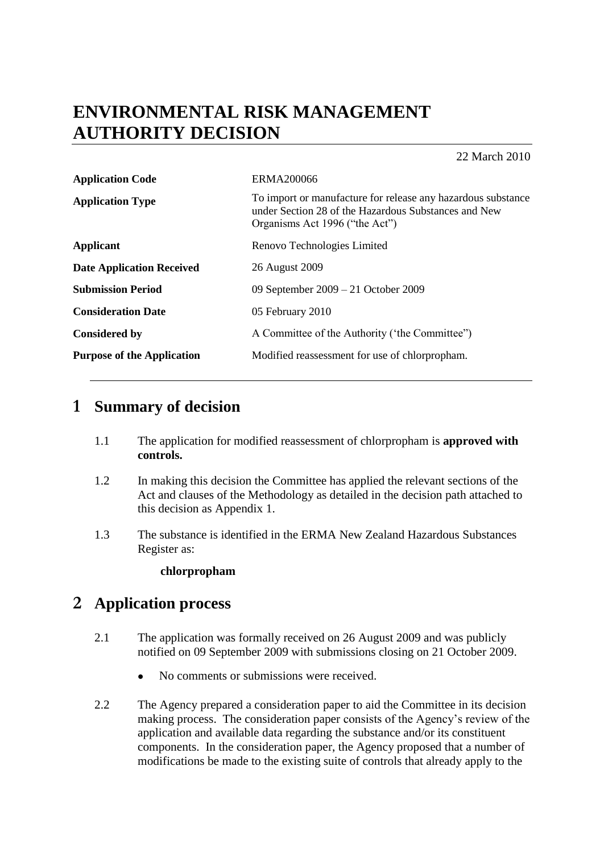# **ENVIRONMENTAL RISK MANAGEMENT AUTHORITY DECISION**

22 March 2010

| <b>Application Code</b>           | <b>ERMA200066</b>                                                                                                                                      |
|-----------------------------------|--------------------------------------------------------------------------------------------------------------------------------------------------------|
| <b>Application Type</b>           | To import or manufacture for release any hazardous substance<br>under Section 28 of the Hazardous Substances and New<br>Organisms Act 1996 ("the Act") |
| <b>Applicant</b>                  | Renovo Technologies Limited                                                                                                                            |
| <b>Date Application Received</b>  | 26 August 2009                                                                                                                                         |
| <b>Submission Period</b>          | 09 September 2009 – 21 October 2009                                                                                                                    |
| <b>Consideration Date</b>         | 05 February 2010                                                                                                                                       |
| <b>Considered by</b>              | A Committee of the Authority ('the Committee'')                                                                                                        |
| <b>Purpose of the Application</b> | Modified reassessment for use of chlorpropham.                                                                                                         |
|                                   |                                                                                                                                                        |

# **1 Summary of decision**

- 1.1 The application for modified reassessment of chlorpropham is **approved with controls.**
- 1.2 In making this decision the Committee has applied the relevant sections of the Act and clauses of the Methodology as detailed in the decision path attached to this decision as Appendix 1.
- 1.3 The substance is identified in the ERMA New Zealand Hazardous Substances Register as:

### **chlorpropham**

# **2 Application process**

- 2.1 The application was formally received on 26 August 2009 and was publicly notified on 09 September 2009 with submissions closing on 21 October 2009.
	- No comments or submissions were received.
- 2.2 The Agency prepared a consideration paper to aid the Committee in its decision making process. The consideration paper consists of the Agency"s review of the application and available data regarding the substance and/or its constituent components. In the consideration paper, the Agency proposed that a number of modifications be made to the existing suite of controls that already apply to the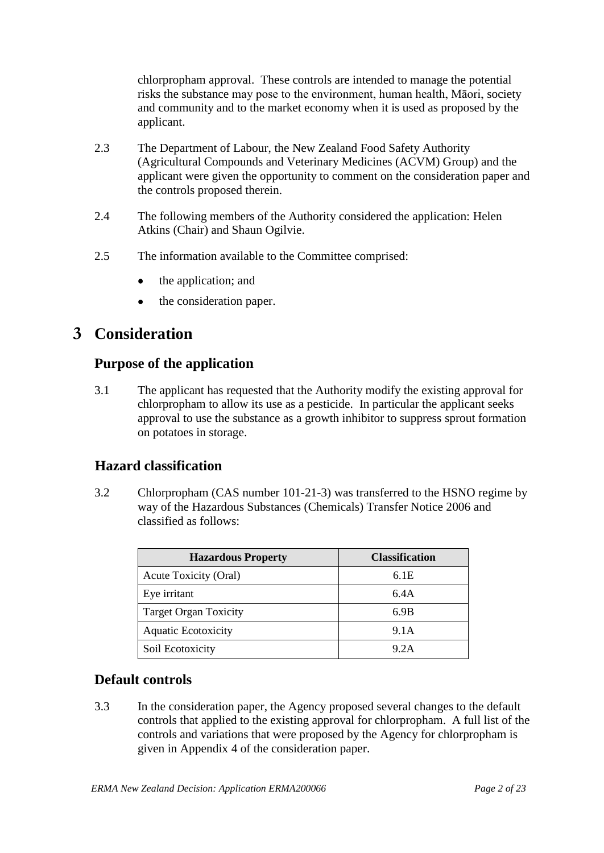chlorpropham approval. These controls are intended to manage the potential risks the substance may pose to the environment, human health, Māori, society and community and to the market economy when it is used as proposed by the applicant.

- 2.3 The Department of Labour, the New Zealand Food Safety Authority (Agricultural Compounds and Veterinary Medicines (ACVM) Group) and the applicant were given the opportunity to comment on the consideration paper and the controls proposed therein.
- 2.4 The following members of the Authority considered the application: Helen Atkins (Chair) and Shaun Ogilvie.
- 2.5 The information available to the Committee comprised:
	- the application; and  $\bullet$
	- the consideration paper.  $\bullet$

## **3 Consideration**

### **Purpose of the application**

3.1 The applicant has requested that the Authority modify the existing approval for chlorpropham to allow its use as a pesticide. In particular the applicant seeks approval to use the substance as a growth inhibitor to suppress sprout formation on potatoes in storage.

### **Hazard classification**

3.2 Chlorpropham (CAS number 101-21-3) was transferred to the HSNO regime by way of the Hazardous Substances (Chemicals) Transfer Notice 2006 and classified as follows:

| <b>Hazardous Property</b>    | <b>Classification</b> |
|------------------------------|-----------------------|
| Acute Toxicity (Oral)        | 6.1E                  |
| Eye irritant                 | 6.4A                  |
| <b>Target Organ Toxicity</b> | 6.9B                  |
| <b>Aquatic Ecotoxicity</b>   | 9.1A                  |
| Soil Ecotoxicity             | 9.2A                  |

### **Default controls**

3.3 In the consideration paper, the Agency proposed several changes to the default controls that applied to the existing approval for chlorpropham. A full list of the controls and variations that were proposed by the Agency for chlorpropham is given in Appendix 4 of the consideration paper.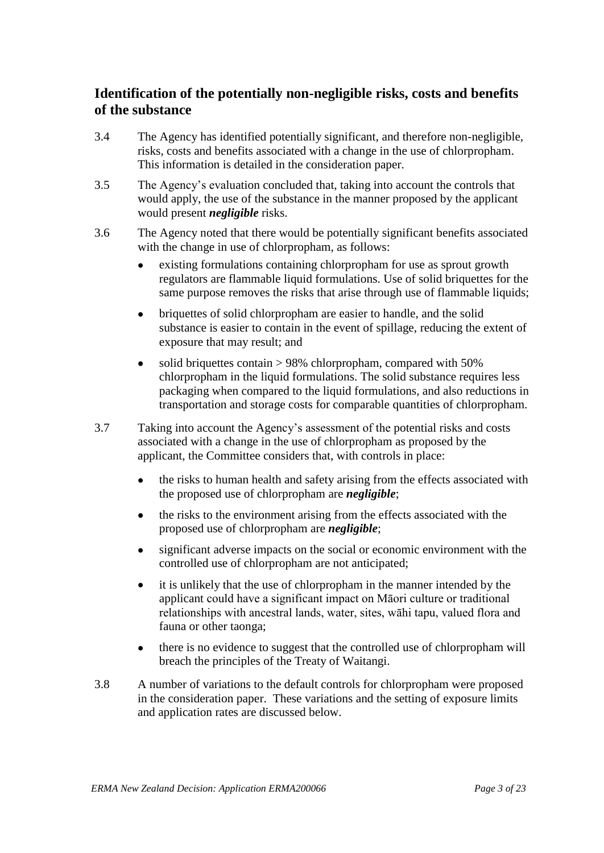## **Identification of the potentially non-negligible risks, costs and benefits of the substance**

- 3.4 The Agency has identified potentially significant, and therefore non-negligible, risks, costs and benefits associated with a change in the use of chlorpropham. This information is detailed in the consideration paper.
- 3.5 The Agency"s evaluation concluded that, taking into account the controls that would apply, the use of the substance in the manner proposed by the applicant would present *negligible* risks.
- 3.6 The Agency noted that there would be potentially significant benefits associated with the change in use of chlorpropham, as follows:
	- existing formulations containing chlorpropham for use as sprout growth  $\bullet$ regulators are flammable liquid formulations. Use of solid briquettes for the same purpose removes the risks that arise through use of flammable liquids;
	- briquettes of solid chlorpropham are easier to handle, and the solid  $\bullet$ substance is easier to contain in the event of spillage, reducing the extent of exposure that may result; and
	- solid briquettes contain > 98% chlorpropham, compared with 50%  $\bullet$ chlorpropham in the liquid formulations. The solid substance requires less packaging when compared to the liquid formulations, and also reductions in transportation and storage costs for comparable quantities of chlorpropham.
- 3.7 Taking into account the Agency"s assessment of the potential risks and costs associated with a change in the use of chlorpropham as proposed by the applicant, the Committee considers that, with controls in place:
	- the risks to human health and safety arising from the effects associated with  $\bullet$ the proposed use of chlorpropham are *negligible*;
	- the risks to the environment arising from the effects associated with the  $\bullet$ proposed use of chlorpropham are *negligible*;
	- $\bullet$ significant adverse impacts on the social or economic environment with the controlled use of chlorpropham are not anticipated;
	- it is unlikely that the use of chlorpropham in the manner intended by the  $\bullet$ applicant could have a significant impact on Māori culture or traditional relationships with ancestral lands, water, sites, wāhi tapu, valued flora and fauna or other taonga;
	- there is no evidence to suggest that the controlled use of chlorpropham will  $\bullet$ breach the principles of the Treaty of Waitangi.
- 3.8 A number of variations to the default controls for chlorpropham were proposed in the consideration paper. These variations and the setting of exposure limits and application rates are discussed below.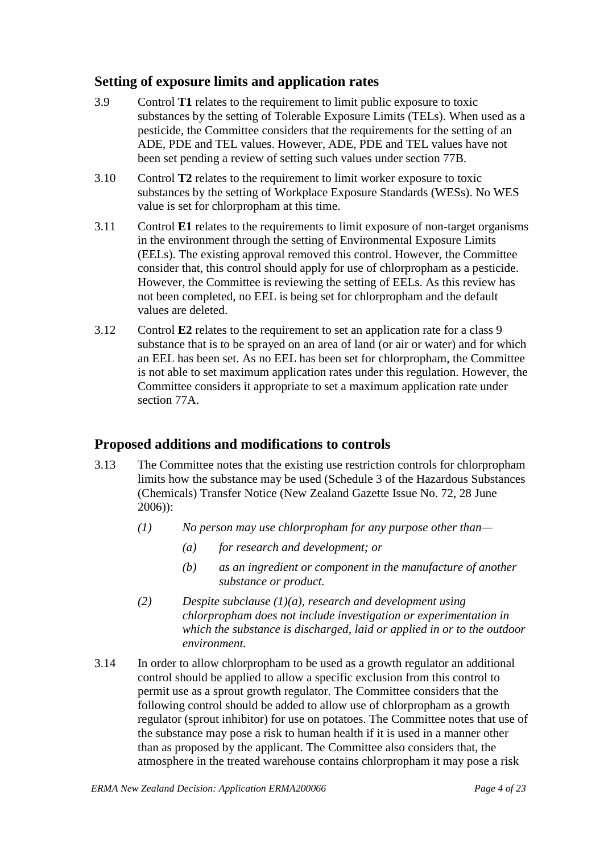### **Setting of exposure limits and application rates**

- 3.9 Control **T1** relates to the requirement to limit public exposure to toxic substances by the setting of Tolerable Exposure Limits (TELs). When used as a pesticide, the Committee considers that the requirements for the setting of an ADE, PDE and TEL values. However, ADE, PDE and TEL values have not been set pending a review of setting such values under section 77B.
- 3.10 Control **T2** relates to the requirement to limit worker exposure to toxic substances by the setting of Workplace Exposure Standards (WESs). No WES value is set for chlorpropham at this time.
- 3.11 Control **E1** relates to the requirements to limit exposure of non-target organisms in the environment through the setting of Environmental Exposure Limits (EELs). The existing approval removed this control. However, the Committee consider that, this control should apply for use of chlorpropham as a pesticide. However, the Committee is reviewing the setting of EELs. As this review has not been completed, no EEL is being set for chlorpropham and the default values are deleted.
- 3.12 Control **E2** relates to the requirement to set an application rate for a class 9 substance that is to be sprayed on an area of land (or air or water) and for which an EEL has been set. As no EEL has been set for chlorpropham, the Committee is not able to set maximum application rates under this regulation. However, the Committee considers it appropriate to set a maximum application rate under section 77A.

## **Proposed additions and modifications to controls**

- 3.13 The Committee notes that the existing use restriction controls for chlorpropham limits how the substance may be used (Schedule 3 of the Hazardous Substances (Chemicals) Transfer Notice (New Zealand Gazette Issue No. 72, 28 June 2006)):
	- *(1) No person may use chlorpropham for any purpose other than—*
		- *(a) for research and development; or*
		- *(b) as an ingredient or component in the manufacture of another substance or product.*
	- *(2) Despite subclause (1)(a), research and development using chlorpropham does not include investigation or experimentation in which the substance is discharged, laid or applied in or to the outdoor environment.*
- 3.14 In order to allow chlorpropham to be used as a growth regulator an additional control should be applied to allow a specific exclusion from this control to permit use as a sprout growth regulator. The Committee considers that the following control should be added to allow use of chlorpropham as a growth regulator (sprout inhibitor) for use on potatoes. The Committee notes that use of the substance may pose a risk to human health if it is used in a manner other than as proposed by the applicant. The Committee also considers that, the atmosphere in the treated warehouse contains chlorpropham it may pose a risk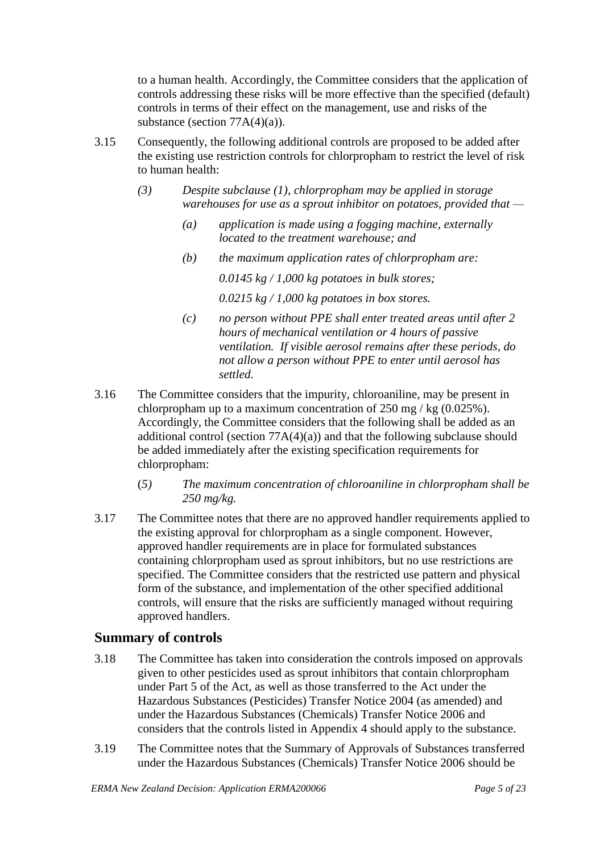to a human health. Accordingly, the Committee considers that the application of controls addressing these risks will be more effective than the specified (default) controls in terms of their effect on the management, use and risks of the substance (section 77A(4)(a)).

- 3.15 Consequently, the following additional controls are proposed to be added after the existing use restriction controls for chlorpropham to restrict the level of risk to human health:
	- *(3) Despite subclause (1), chlorpropham may be applied in storage warehouses for use as a sprout inhibitor on potatoes, provided that —*
		- *(a) application is made using a fogging machine, externally located to the treatment warehouse; and*
		- *(b) the maximum application rates of chlorpropham are:*

*0.0145 kg / 1,000 kg potatoes in bulk stores;* 

*0.0215 kg / 1,000 kg potatoes in box stores.*

- *(c) no person without PPE shall enter treated areas until after 2 hours of mechanical ventilation or 4 hours of passive ventilation. If visible aerosol remains after these periods, do not allow a person without PPE to enter until aerosol has settled.*
- 3.16 The Committee considers that the impurity, chloroaniline, may be present in chlorpropham up to a maximum concentration of 250 mg / kg (0.025%). Accordingly, the Committee considers that the following shall be added as an additional control (section  $77A(4)(a)$ ) and that the following subclause should be added immediately after the existing specification requirements for chlorpropham:
	- (*5) The maximum concentration of chloroaniline in chlorpropham shall be 250 mg/kg.*
- 3.17 The Committee notes that there are no approved handler requirements applied to the existing approval for chlorpropham as a single component. However, approved handler requirements are in place for formulated substances containing chlorpropham used as sprout inhibitors, but no use restrictions are specified. The Committee considers that the restricted use pattern and physical form of the substance, and implementation of the other specified additional controls, will ensure that the risks are sufficiently managed without requiring approved handlers.

### **Summary of controls**

- 3.18 The Committee has taken into consideration the controls imposed on approvals given to other pesticides used as sprout inhibitors that contain chlorpropham under Part 5 of the Act, as well as those transferred to the Act under the Hazardous Substances (Pesticides) Transfer Notice 2004 (as amended) and under the Hazardous Substances (Chemicals) Transfer Notice 2006 and considers that the controls listed in Appendix 4 should apply to the substance.
- 3.19 The Committee notes that the Summary of Approvals of Substances transferred under the Hazardous Substances (Chemicals) Transfer Notice 2006 should be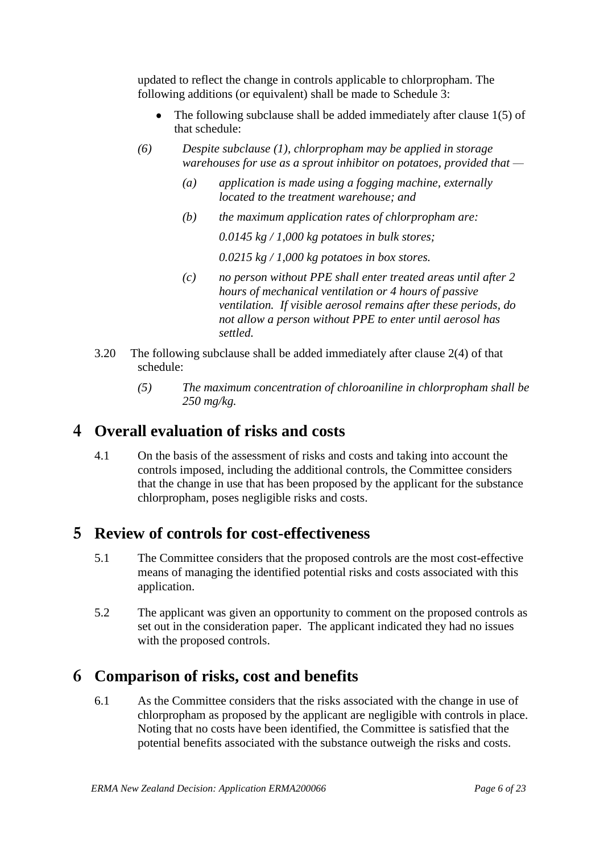updated to reflect the change in controls applicable to chlorpropham. The following additions (or equivalent) shall be made to Schedule 3:

- $\bullet$ The following subclause shall be added immediately after clause 1(5) of that schedule:
- *(6) Despite subclause (1), chlorpropham may be applied in storage warehouses for use as a sprout inhibitor on potatoes, provided that —*
	- *(a) application is made using a fogging machine, externally located to the treatment warehouse; and*
	- *(b) the maximum application rates of chlorpropham are:*

*0.0145 kg / 1,000 kg potatoes in bulk stores;* 

*0.0215 kg / 1,000 kg potatoes in box stores.*

- *(c) no person without PPE shall enter treated areas until after 2 hours of mechanical ventilation or 4 hours of passive ventilation. If visible aerosol remains after these periods, do not allow a person without PPE to enter until aerosol has settled.*
- 3.20 The following subclause shall be added immediately after clause 2(4) of that schedule:
	- *(5) The maximum concentration of chloroaniline in chlorpropham shall be 250 mg/kg.*

# **4 Overall evaluation of risks and costs**

4.1 On the basis of the assessment of risks and costs and taking into account the controls imposed, including the additional controls, the Committee considers that the change in use that has been proposed by the applicant for the substance chlorpropham, poses negligible risks and costs.

# **5 Review of controls for cost-effectiveness**

- 5.1 The Committee considers that the proposed controls are the most cost-effective means of managing the identified potential risks and costs associated with this application.
- 5.2 The applicant was given an opportunity to comment on the proposed controls as set out in the consideration paper. The applicant indicated they had no issues with the proposed controls.

# **6 Comparison of risks, cost and benefits**

6.1 As the Committee considers that the risks associated with the change in use of chlorpropham as proposed by the applicant are negligible with controls in place. Noting that no costs have been identified, the Committee is satisfied that the potential benefits associated with the substance outweigh the risks and costs.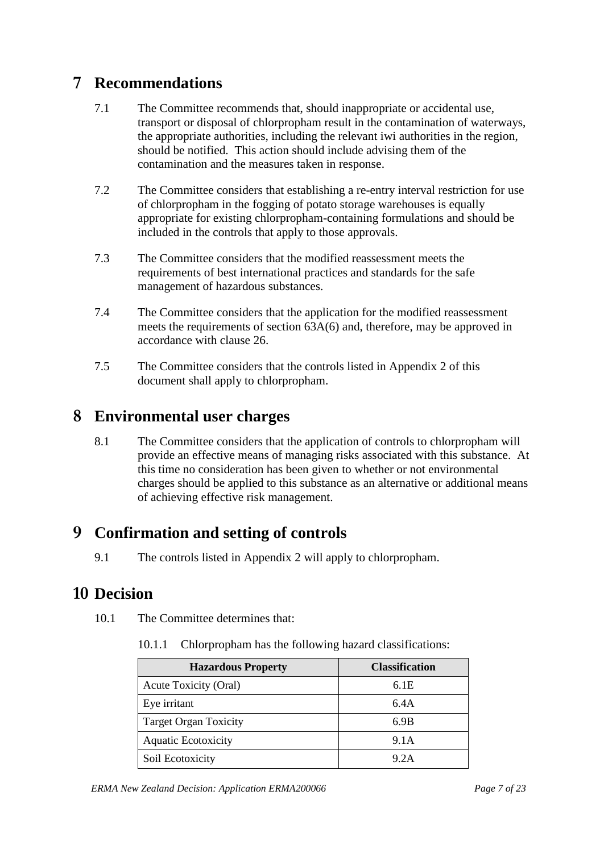# **7 Recommendations**

- 7.1 The Committee recommends that, should inappropriate or accidental use, transport or disposal of chlorpropham result in the contamination of waterways, the appropriate authorities, including the relevant iwi authorities in the region, should be notified. This action should include advising them of the contamination and the measures taken in response.
- 7.2 The Committee considers that establishing a re-entry interval restriction for use of chlorpropham in the fogging of potato storage warehouses is equally appropriate for existing chlorpropham-containing formulations and should be included in the controls that apply to those approvals.
- 7.3 The Committee considers that the modified reassessment meets the requirements of best international practices and standards for the safe management of hazardous substances.
- 7.4 The Committee considers that the application for the modified reassessment meets the requirements of section 63A(6) and, therefore, may be approved in accordance with clause 26.
- 7.5 The Committee considers that the controls listed in Appendix 2 of this document shall apply to chlorpropham.

# **8 Environmental user charges**

8.1 The Committee considers that the application of controls to chlorpropham will provide an effective means of managing risks associated with this substance. At this time no consideration has been given to whether or not environmental charges should be applied to this substance as an alternative or additional means of achieving effective risk management.

# **9 Confirmation and setting of controls**

9.1 The controls listed in Appendix 2 will apply to chlorpropham.

# **10 Decision**

- 10.1 The Committee determines that:
	- 10.1.1 Chlorpropham has the following hazard classifications:

| <b>Hazardous Property</b>    | <b>Classification</b> |
|------------------------------|-----------------------|
| Acute Toxicity (Oral)        | 6.1E                  |
| Eye irritant                 | 6.4A                  |
| <b>Target Organ Toxicity</b> | 6.9B                  |
| <b>Aquatic Ecotoxicity</b>   | 9.1A                  |
| Soil Ecotoxicity             | 9.2A                  |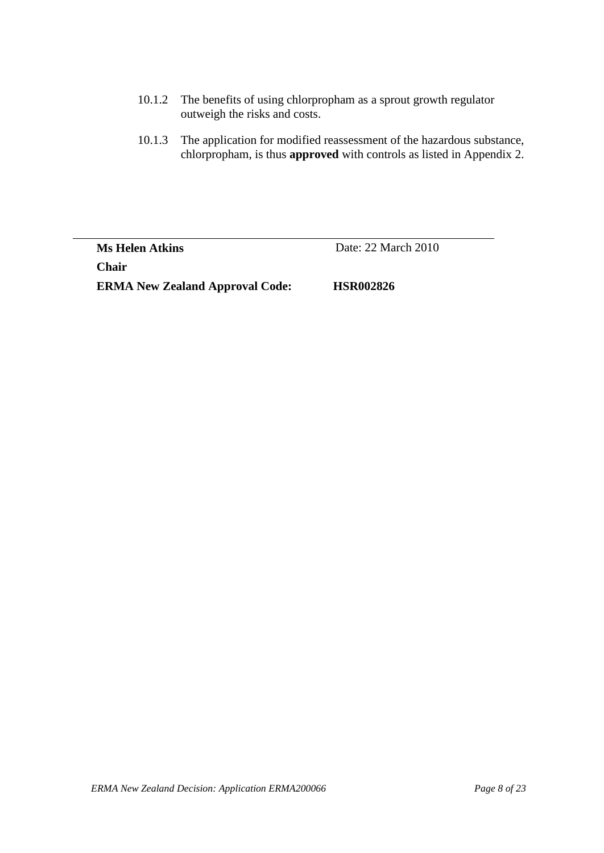- 10.1.2 The benefits of using chlorpropham as a sprout growth regulator outweigh the risks and costs.
- 10.1.3 The application for modified reassessment of the hazardous substance, chlorpropham, is thus **approved** with controls as listed in Appendix 2.

**Ms Helen Atkins** Date: 22 March 2010 **Chair ERMA New Zealand Approval Code: HSR002826**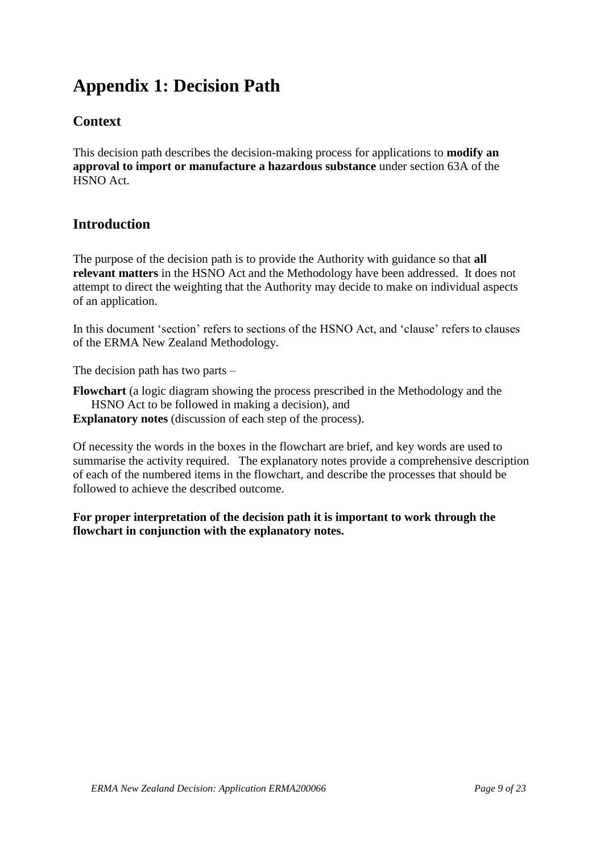# **Appendix 1: Decision Path**

## **Context**

This decision path describes the decision-making process for applications to **modify an approval to import or manufacture a hazardous substance** under section 63A of the HSNO Act.

## **Introduction**

The purpose of the decision path is to provide the Authority with guidance so that **all relevant matters** in the HSNO Act and the Methodology have been addressed. It does not attempt to direct the weighting that the Authority may decide to make on individual aspects of an application.

In this document 'section' refers to sections of the HSNO Act, and 'clause' refers to clauses of the ERMA New Zealand Methodology.

The decision path has two parts –

**Flowchart** (a logic diagram showing the process prescribed in the Methodology and the HSNO Act to be followed in making a decision), and

**Explanatory notes** (discussion of each step of the process).

Of necessity the words in the boxes in the flowchart are brief, and key words are used to summarise the activity required. The explanatory notes provide a comprehensive description of each of the numbered items in the flowchart, and describe the processes that should be followed to achieve the described outcome.

**For proper interpretation of the decision path it is important to work through the flowchart in conjunction with the explanatory notes.**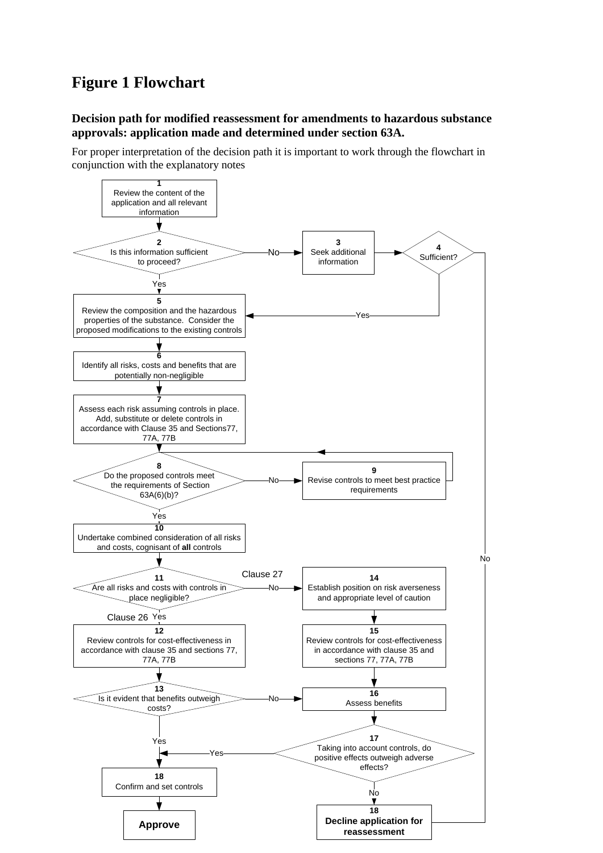# **Figure 1 Flowchart**

### **Decision path for modified reassessment for amendments to hazardous substance approvals: application made and determined under section 63A.**

For proper interpretation of the decision path it is important to work through the flowchart in conjunction with the explanatory notes

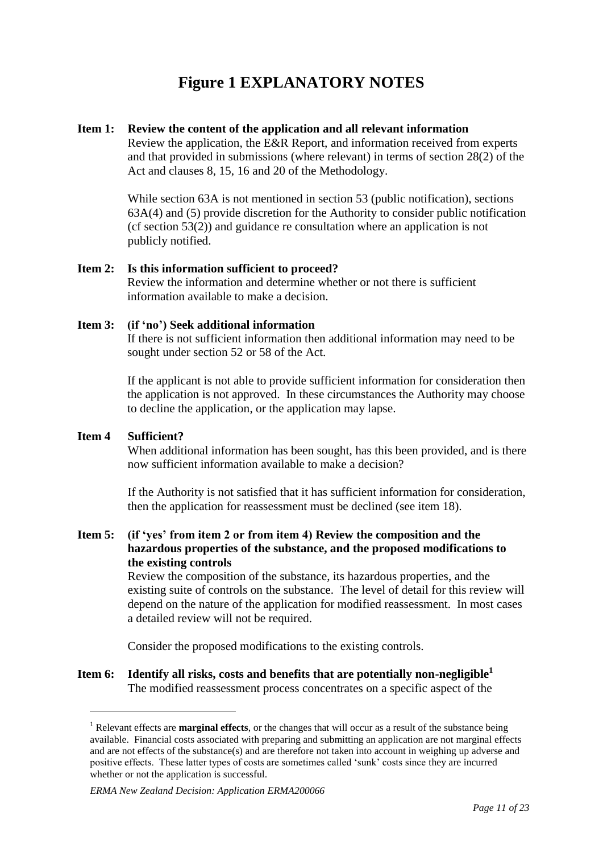# **Figure 1 EXPLANATORY NOTES**

#### **Item 1: Review the content of the application and all relevant information**

Review the application, the E&R Report, and information received from experts and that provided in submissions (where relevant) in terms of section 28(2) of the Act and clauses 8, 15, 16 and 20 of the Methodology.

While section 63A is not mentioned in section 53 (public notification), sections 63A(4) and (5) provide discretion for the Authority to consider public notification (cf section 53(2)) and guidance re consultation where an application is not publicly notified.

### **Item 2: Is this information sufficient to proceed?**

Review the information and determine whether or not there is sufficient information available to make a decision.

### **Item 3: (if 'no') Seek additional information**

If there is not sufficient information then additional information may need to be sought under section 52 or 58 of the Act.

If the applicant is not able to provide sufficient information for consideration then the application is not approved. In these circumstances the Authority may choose to decline the application, or the application may lapse.

### **Item 4 Sufficient?**

1

When additional information has been sought, has this been provided, and is there now sufficient information available to make a decision?

If the Authority is not satisfied that it has sufficient information for consideration, then the application for reassessment must be declined (see item 18).

### **Item 5: (if 'yes' from item 2 or from item 4) Review the composition and the hazardous properties of the substance, and the proposed modifications to the existing controls**

Review the composition of the substance, its hazardous properties, and the existing suite of controls on the substance. The level of detail for this review will depend on the nature of the application for modified reassessment. In most cases a detailed review will not be required.

Consider the proposed modifications to the existing controls.

#### **Item 6: Identify all risks, costs and benefits that are potentially non-negligible<sup>1</sup>** The modified reassessment process concentrates on a specific aspect of the

<sup>&</sup>lt;sup>1</sup> Relevant effects are **marginal effects**, or the changes that will occur as a result of the substance being available. Financial costs associated with preparing and submitting an application are not marginal effects and are not effects of the substance(s) and are therefore not taken into account in weighing up adverse and positive effects. These latter types of costs are sometimes called "sunk" costs since they are incurred whether or not the application is successful.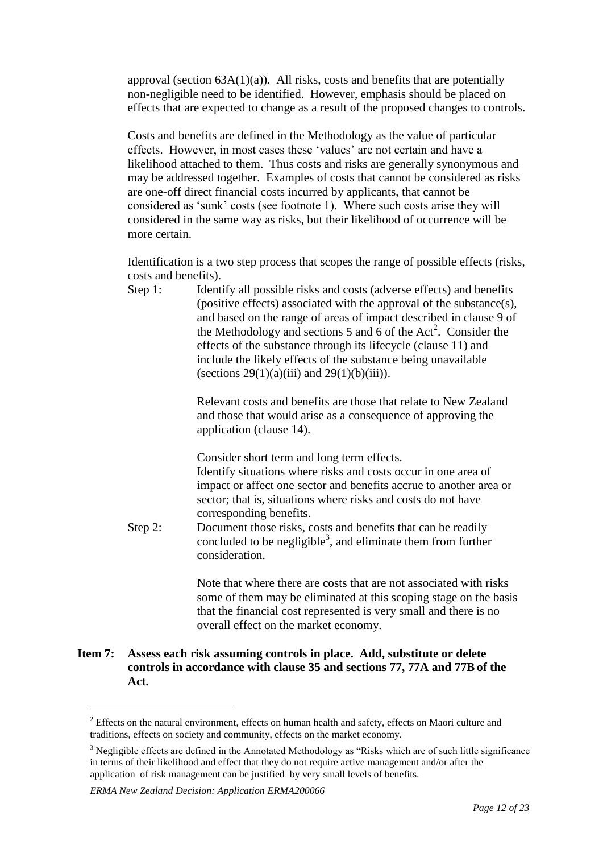approval (section  $63A(1)(a)$ ). All risks, costs and benefits that are potentially non-negligible need to be identified. However, emphasis should be placed on effects that are expected to change as a result of the proposed changes to controls.

Costs and benefits are defined in the Methodology as the value of particular effects. However, in most cases these "values" are not certain and have a likelihood attached to them. Thus costs and risks are generally synonymous and may be addressed together. Examples of costs that cannot be considered as risks are one-off direct financial costs incurred by applicants, that cannot be considered as "sunk" costs (see footnote 1). Where such costs arise they will considered in the same way as risks, but their likelihood of occurrence will be more certain.

Identification is a two step process that scopes the range of possible effects (risks, costs and benefits).

Step 1: Identify all possible risks and costs (adverse effects) and benefits (positive effects) associated with the approval of the substance(s), and based on the range of areas of impact described in clause 9 of the Methodology and sections 5 and 6 of the Act<sup>2</sup>. Consider the effects of the substance through its lifecycle (clause 11) and include the likely effects of the substance being unavailable (sections  $29(1)(a)(iii)$  and  $29(1)(b)(iii)$ ).

> Relevant costs and benefits are those that relate to New Zealand and those that would arise as a consequence of approving the application (clause 14).

Consider short term and long term effects.

Identify situations where risks and costs occur in one area of impact or affect one sector and benefits accrue to another area or sector; that is, situations where risks and costs do not have corresponding benefits.

Step 2: Document those risks, costs and benefits that can be readily concluded to be negligible<sup>3</sup>, and eliminate them from further consideration.

> Note that where there are costs that are not associated with risks some of them may be eliminated at this scoping stage on the basis that the financial cost represented is very small and there is no overall effect on the market economy.

#### **Item 7: Assess each risk assuming controls in place. Add, substitute or delete controls in accordance with clause 35 and sections 77, 77A and 77B of the Act.**

<sup>&</sup>lt;sup>2</sup> Effects on the natural environment, effects on human health and safety, effects on Maori culture and traditions, effects on society and community, effects on the market economy.

<sup>&</sup>lt;sup>3</sup> Negligible effects are defined in the Annotated Methodology as "Risks which are of such little significance" in terms of their likelihood and effect that they do not require active management and/or after the application of risk management can be justified by very small levels of benefits.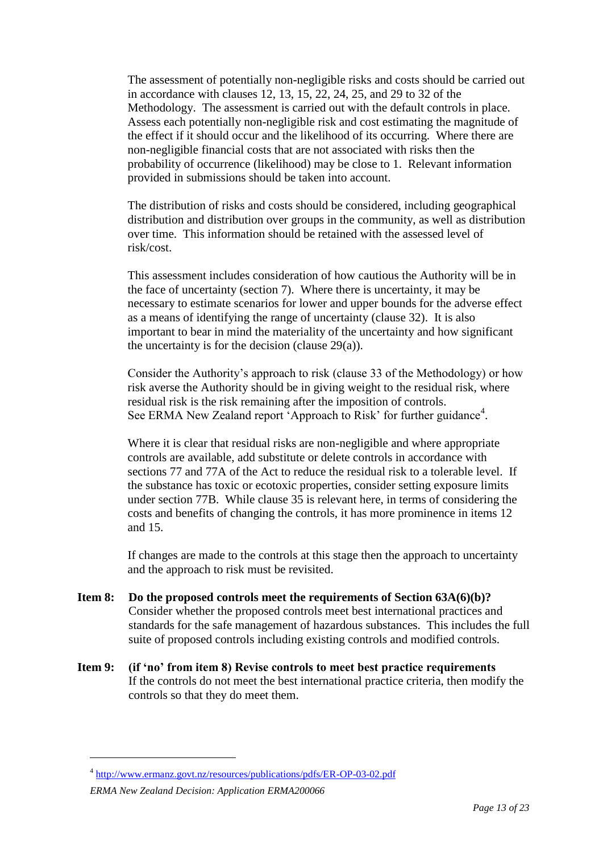The assessment of potentially non-negligible risks and costs should be carried out in accordance with clauses 12, 13, 15, 22, 24, 25, and 29 to 32 of the Methodology. The assessment is carried out with the default controls in place. Assess each potentially non-negligible risk and cost estimating the magnitude of the effect if it should occur and the likelihood of its occurring. Where there are non-negligible financial costs that are not associated with risks then the probability of occurrence (likelihood) may be close to 1. Relevant information provided in submissions should be taken into account.

The distribution of risks and costs should be considered, including geographical distribution and distribution over groups in the community, as well as distribution over time. This information should be retained with the assessed level of risk/cost.

This assessment includes consideration of how cautious the Authority will be in the face of uncertainty (section 7). Where there is uncertainty, it may be necessary to estimate scenarios for lower and upper bounds for the adverse effect as a means of identifying the range of uncertainty (clause 32). It is also important to bear in mind the materiality of the uncertainty and how significant the uncertainty is for the decision (clause  $29(a)$ ).

Consider the Authority"s approach to risk (clause 33 of the Methodology) or how risk averse the Authority should be in giving weight to the residual risk, where residual risk is the risk remaining after the imposition of controls. See ERMA New Zealand report 'Approach to Risk' for further guidance<sup>4</sup>.

Where it is clear that residual risks are non-negligible and where appropriate controls are available, add substitute or delete controls in accordance with sections 77 and 77A of the Act to reduce the residual risk to a tolerable level. If the substance has toxic or ecotoxic properties, consider setting exposure limits under section 77B. While clause 35 is relevant here, in terms of considering the costs and benefits of changing the controls, it has more prominence in items 12 and 15.

If changes are made to the controls at this stage then the approach to uncertainty and the approach to risk must be revisited.

- **Item 8: Do the proposed controls meet the requirements of Section 63A(6)(b)?** Consider whether the proposed controls meet best international practices and standards for the safe management of hazardous substances. This includes the full suite of proposed controls including existing controls and modified controls.
- **Item 9: (if 'no' from item 8) Revise controls to meet best practice requirements** If the controls do not meet the best international practice criteria, then modify the controls so that they do meet them.

<sup>&</sup>lt;sup>4</sup> <http://www.ermanz.govt.nz/resources/publications/pdfs/ER-OP-03-02.pdf>

*ERMA New Zealand Decision: Application ERMA200066*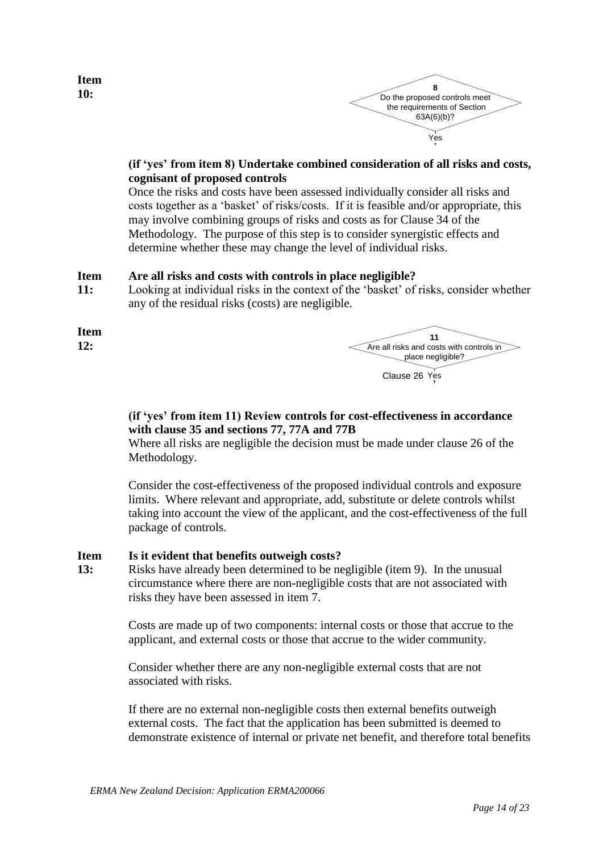



### **(if 'yes' from item 8) Undertake combined consideration of all risks and costs, cognisant of proposed controls**

Once the risks and costs have been assessed individually consider all risks and costs together as a "basket" of risks/costs. If it is feasible and/or appropriate, this may involve combining groups of risks and costs as for Clause 34 of the Methodology. The purpose of this step is to consider synergistic effects and determine whether these may change the level of individual risks.

#### **Item Are all risks and costs with controls in place negligible?**

**11:** Looking at individual risks in the context of the 'basket' of risks, consider whether any of the residual risks (costs) are negligible.

**Item** 

**Item 10:**

**12:**



Clause 26 Yes

### **(if 'yes' from item 11) Review controls for cost-effectiveness in accordance with clause 35 and sections 77, 77A and 77B**

Where all risks are negligible the decision must be made under clause 26 of the Methodology.

Consider the cost-effectiveness of the proposed individual controls and exposure limits. Where relevant and appropriate, add, substitute or delete controls whilst taking into account the view of the applicant, and the cost-effectiveness of the full package of controls.

#### **Item Is it evident that benefits outweigh costs?**

**13:** Risks have already been determined to be negligible (item 9). In the unusual circumstance where there are non-negligible costs that are not associated with risks they have been assessed in item 7.

> Costs are made up of two components: internal costs or those that accrue to the applicant, and external costs or those that accrue to the wider community.

Consider whether there are any non-negligible external costs that are not associated with risks.

If there are no external non-negligible costs then external benefits outweigh external costs. The fact that the application has been submitted is deemed to demonstrate existence of internal or private net benefit, and therefore total benefits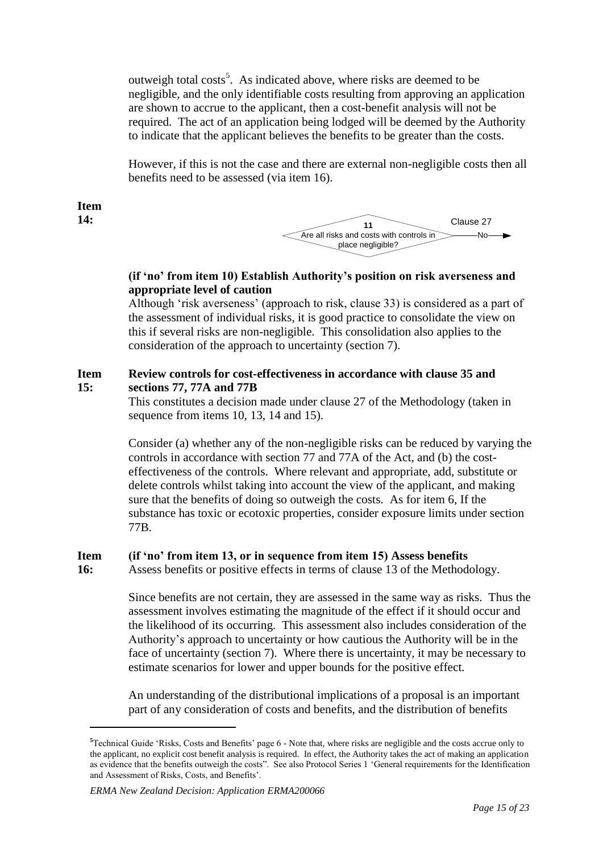outweigh total costs<sup>5</sup>. As indicated above, where risks are deemed to be negligible, and the only identifiable costs resulting from approving an application are shown to accrue to the applicant, then a cost-benefit analysis will not be required. The act of an application being lodged will be deemed by the Authority to indicate that the applicant believes the benefits to be greater than the costs.

However, if this is not the case and there are external non-negligible costs then all benefits need to be assessed (via item 16).

**Item 14:**

1



### **(if 'no' from item 10) Establish Authority's position on risk averseness and appropriate level of caution**

Although "risk averseness" (approach to risk, clause 33) is considered as a part of the assessment of individual risks, it is good practice to consolidate the view on this if several risks are non-negligible. This consolidation also applies to the consideration of the approach to uncertainty (section 7).

#### **Item 15: Review controls for cost-effectiveness in accordance with clause 35 and sections 77, 77A and 77B**

This constitutes a decision made under clause 27 of the Methodology (taken in sequence from items 10, 13, 14 and 15).

Consider (a) whether any of the non-negligible risks can be reduced by varying the controls in accordance with section 77 and 77A of the Act, and (b) the costeffectiveness of the controls. Where relevant and appropriate, add, substitute or delete controls whilst taking into account the view of the applicant, and making sure that the benefits of doing so outweigh the costs. As for item 6, If the substance has toxic or ecotoxic properties, consider exposure limits under section 77B.

#### **Item (if 'no' from item 13, or in sequence from item 15) Assess benefits**

**16:** Assess benefits or positive effects in terms of clause 13 of the Methodology.

> Since benefits are not certain, they are assessed in the same way as risks. Thus the assessment involves estimating the magnitude of the effect if it should occur and the likelihood of its occurring. This assessment also includes consideration of the Authority"s approach to uncertainty or how cautious the Authority will be in the face of uncertainty (section 7). Where there is uncertainty, it may be necessary to estimate scenarios for lower and upper bounds for the positive effect.

An understanding of the distributional implications of a proposal is an important part of any consideration of costs and benefits, and the distribution of benefits

<sup>&</sup>lt;sup>5</sup>Technical Guide 'Risks, Costs and Benefits' page 6 - Note that, where risks are negligible and the costs accrue only to the applicant, no explicit cost benefit analysis is required. In effect, the Authority takes the act of making an application as evidence that the benefits outweigh the costs". See also Protocol Series 1 "General requirements for the Identification and Assessment of Risks, Costs, and Benefits".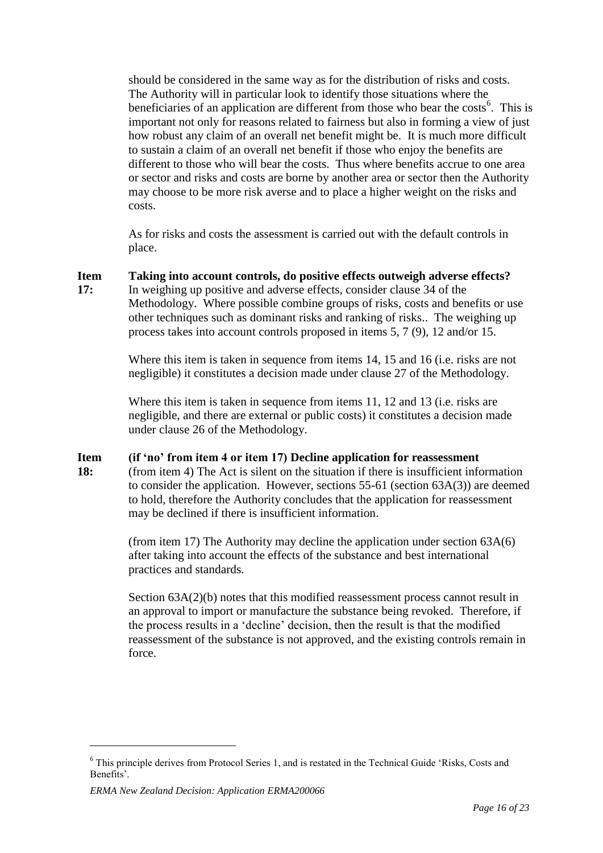should be considered in the same way as for the distribution of risks and costs. The Authority will in particular look to identify those situations where the beneficiaries of an application are different from those who bear the costs<sup>6</sup>. This is important not only for reasons related to fairness but also in forming a view of just how robust any claim of an overall net benefit might be. It is much more difficult to sustain a claim of an overall net benefit if those who enjoy the benefits are different to those who will bear the costs. Thus where benefits accrue to one area or sector and risks and costs are borne by another area or sector then the Authority may choose to be more risk averse and to place a higher weight on the risks and costs.

As for risks and costs the assessment is carried out with the default controls in place.

**Item Taking into account controls, do positive effects outweigh adverse effects?**

**17:** In weighing up positive and adverse effects, consider clause 34 of the Methodology. Where possible combine groups of risks, costs and benefits or use other techniques such as dominant risks and ranking of risks.. The weighing up process takes into account controls proposed in items 5, 7 (9), 12 and/or 15.

> Where this item is taken in sequence from items 14, 15 and 16 (i.e. risks are not negligible) it constitutes a decision made under clause 27 of the Methodology.

Where this item is taken in sequence from items 11, 12 and 13 (i.e. risks are negligible, and there are external or public costs) it constitutes a decision made under clause 26 of the Methodology.

#### **Item (if 'no' from item 4 or item 17) Decline application for reassessment**

**18:** (from item 4) The Act is silent on the situation if there is insufficient information to consider the application. However, sections 55-61 (section 63A(3)) are deemed to hold, therefore the Authority concludes that the application for reassessment may be declined if there is insufficient information.

> (from item 17) The Authority may decline the application under section  $63A(6)$ after taking into account the effects of the substance and best international practices and standards.

Section  $63A(2)(b)$  notes that this modified reassessment process cannot result in an approval to import or manufacture the substance being revoked. Therefore, if the process results in a "decline" decision, then the result is that the modified reassessment of the substance is not approved, and the existing controls remain in force.

<sup>6</sup> This principle derives from Protocol Series 1, and is restated in the Technical Guide "Risks, Costs and Benefits".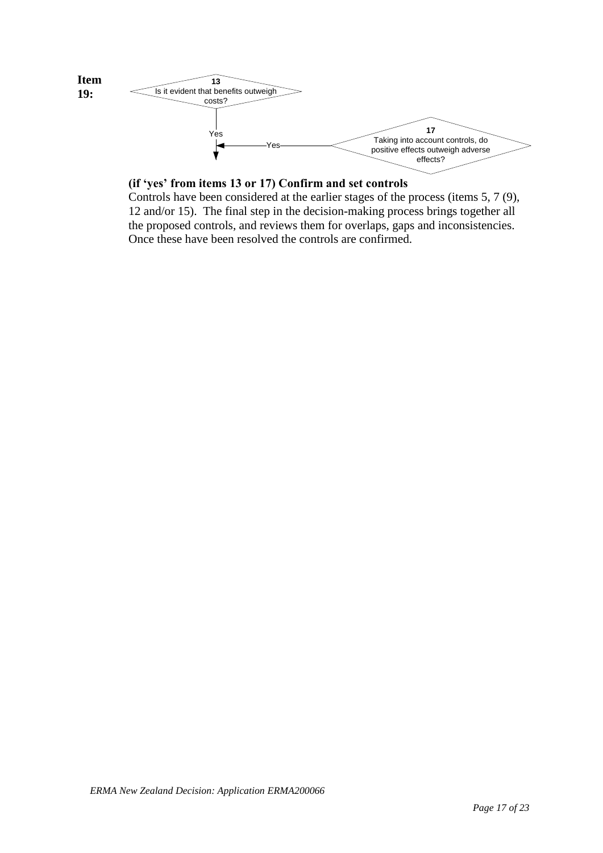

### **(if 'yes' from items 13 or 17) Confirm and set controls**

Controls have been considered at the earlier stages of the process (items 5, 7 (9), 12 and/or 15). The final step in the decision-making process brings together all the proposed controls, and reviews them for overlaps, gaps and inconsistencies. Once these have been resolved the controls are confirmed.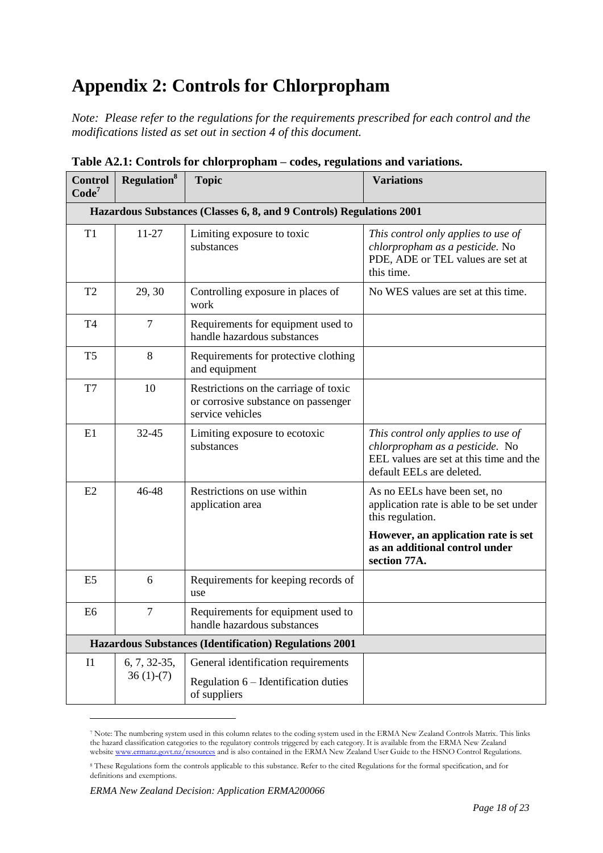# **Appendix 2: Controls for Chlorpropham**

*Note: Please refer to the regulations for the requirements prescribed for each control and the modifications listed as set out in section 4 of this document.*

| <b>Control</b><br>Code <sup>7</sup>                                  | <b>Regulation</b> <sup>8</sup> | <b>Topic</b>                                                                                     | <b>Variations</b>                                                                                                                              |  |
|----------------------------------------------------------------------|--------------------------------|--------------------------------------------------------------------------------------------------|------------------------------------------------------------------------------------------------------------------------------------------------|--|
| Hazardous Substances (Classes 6, 8, and 9 Controls) Regulations 2001 |                                |                                                                                                  |                                                                                                                                                |  |
| T <sub>1</sub>                                                       | 11-27                          | Limiting exposure to toxic<br>substances                                                         | This control only applies to use of<br>chlorpropham as a pesticide. No<br>PDE, ADE or TEL values are set at<br>this time.                      |  |
| T <sub>2</sub>                                                       | 29, 30                         | Controlling exposure in places of<br>work                                                        | No WES values are set at this time.                                                                                                            |  |
| T <sub>4</sub>                                                       | $\overline{7}$                 | Requirements for equipment used to<br>handle hazardous substances                                |                                                                                                                                                |  |
| T <sub>5</sub>                                                       | 8                              | Requirements for protective clothing<br>and equipment                                            |                                                                                                                                                |  |
| T7                                                                   | 10                             | Restrictions on the carriage of toxic<br>or corrosive substance on passenger<br>service vehicles |                                                                                                                                                |  |
| E1                                                                   | 32-45                          | Limiting exposure to ecotoxic<br>substances                                                      | This control only applies to use of<br>chlorpropham as a pesticide. No<br>EEL values are set at this time and the<br>default EELs are deleted. |  |
| E2                                                                   | 46-48                          | Restrictions on use within<br>application area                                                   | As no EELs have been set, no<br>application rate is able to be set under<br>this regulation.                                                   |  |
|                                                                      |                                |                                                                                                  | However, an application rate is set<br>as an additional control under<br>section 77A.                                                          |  |
| E <sub>5</sub>                                                       | 6                              | Requirements for keeping records of<br>use                                                       |                                                                                                                                                |  |
| E <sub>6</sub>                                                       | $\tau$                         | Requirements for equipment used to<br>handle hazardous substances                                |                                                                                                                                                |  |
| <b>Hazardous Substances (Identification) Regulations 2001</b>        |                                |                                                                                                  |                                                                                                                                                |  |
| I <sub>1</sub>                                                       | 6, 7, 32-35,                   | General identification requirements                                                              |                                                                                                                                                |  |
|                                                                      | $36(1)-(7)$                    | Regulation $6$ – Identification duties<br>of suppliers                                           |                                                                                                                                                |  |

**Table A2.1: Controls for chlorpropham – codes, regulations and variations.**

<sup>7</sup> Note: The numbering system used in this column relates to the coding system used in the ERMA New Zealand Controls Matrix. This links the hazard classification categories to the regulatory controls triggered by each category. It is available from the ERMA New Zealand website <u>www.ermanz.govt.nz/resources</u> and is also contained in the ERMA New Zealand User Guide to the HSNO Control Regulations.

<sup>8</sup> These Regulations form the controls applicable to this substance. Refer to the cited Regulations for the formal specification, and for definitions and exemptions.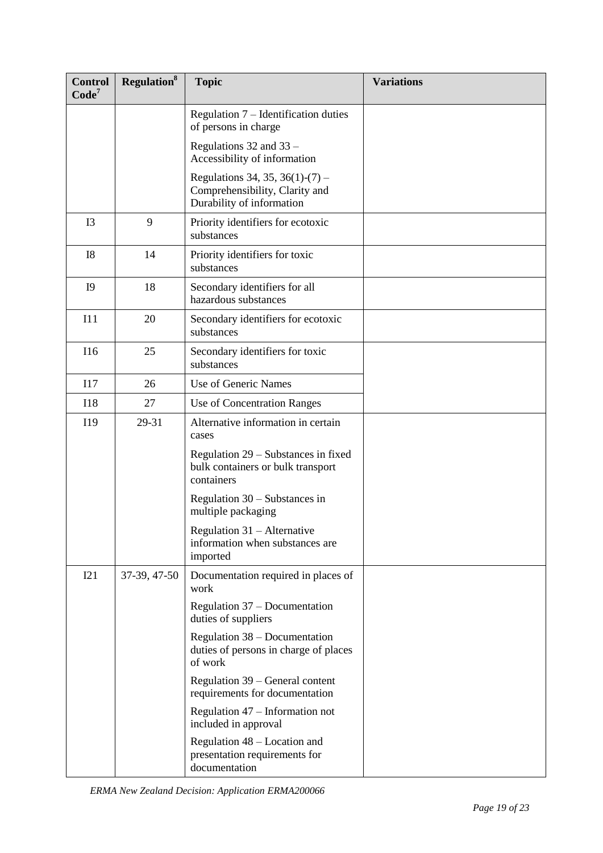| <b>Control</b><br>Code <sup>7</sup> | Regulation <sup>8</sup> | <b>Topic</b>                                                                                   | <b>Variations</b> |
|-------------------------------------|-------------------------|------------------------------------------------------------------------------------------------|-------------------|
|                                     |                         | Regulation $7$ – Identification duties<br>of persons in charge                                 |                   |
|                                     |                         | Regulations 32 and 33 -<br>Accessibility of information                                        |                   |
|                                     |                         | Regulations 34, 35, 36(1)-(7) –<br>Comprehensibility, Clarity and<br>Durability of information |                   |
| I3                                  | 9                       | Priority identifiers for ecotoxic<br>substances                                                |                   |
| I8                                  | 14                      | Priority identifiers for toxic<br>substances                                                   |                   |
| I <sub>9</sub>                      | 18                      | Secondary identifiers for all<br>hazardous substances                                          |                   |
| I11                                 | 20                      | Secondary identifiers for ecotoxic<br>substances                                               |                   |
| <b>I16</b>                          | 25                      | Secondary identifiers for toxic<br>substances                                                  |                   |
| I17                                 | 26                      | Use of Generic Names                                                                           |                   |
| <b>I18</b>                          | 27                      | Use of Concentration Ranges                                                                    |                   |
| I19                                 | 29-31                   | Alternative information in certain<br>cases                                                    |                   |
|                                     |                         | Regulation 29 – Substances in fixed<br>bulk containers or bulk transport<br>containers         |                   |
|                                     |                         | Regulation $30 -$ Substances in<br>multiple packaging                                          |                   |
|                                     |                         | Regulation $31 -$ Alternative<br>information when substances are<br>imported                   |                   |
| I21                                 | 37-39, 47-50            | Documentation required in places of<br>work                                                    |                   |
|                                     |                         | Regulation 37 – Documentation<br>duties of suppliers                                           |                   |
|                                     |                         | Regulation 38 – Documentation<br>duties of persons in charge of places<br>of work              |                   |
|                                     |                         | Regulation 39 – General content<br>requirements for documentation                              |                   |
|                                     |                         | Regulation 47 – Information not<br>included in approval                                        |                   |
|                                     |                         | Regulation 48 – Location and<br>presentation requirements for<br>documentation                 |                   |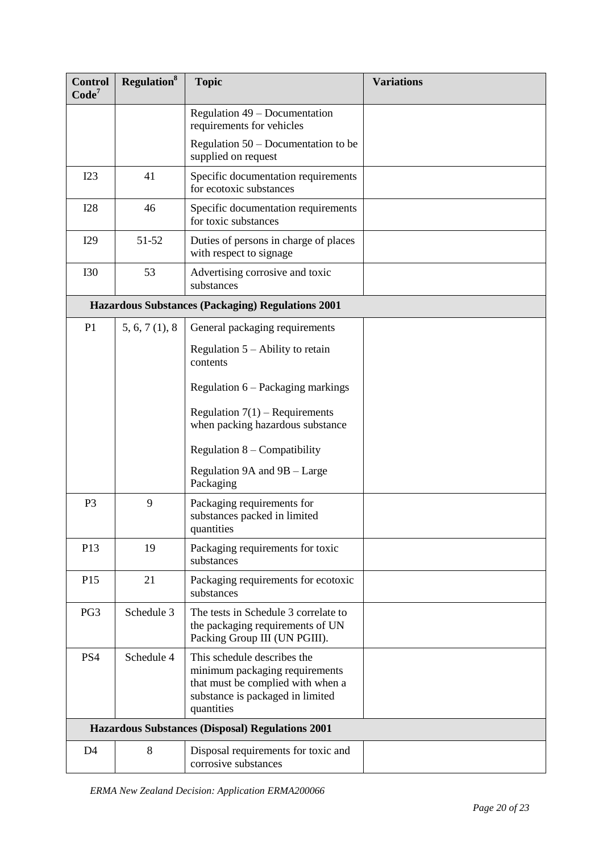| <b>Control</b><br>Code <sup>7</sup>                     | <b>Regulation</b> <sup>8</sup> | <b>Topic</b>                                                                                                                                         | <b>Variations</b> |
|---------------------------------------------------------|--------------------------------|------------------------------------------------------------------------------------------------------------------------------------------------------|-------------------|
|                                                         |                                | Regulation 49 – Documentation<br>requirements for vehicles                                                                                           |                   |
|                                                         |                                | Regulation $50 -$ Documentation to be<br>supplied on request                                                                                         |                   |
| I23                                                     | 41                             | Specific documentation requirements<br>for ecotoxic substances                                                                                       |                   |
| <b>I28</b>                                              | 46                             | Specific documentation requirements<br>for toxic substances                                                                                          |                   |
| I29                                                     | 51-52                          | Duties of persons in charge of places<br>with respect to signage                                                                                     |                   |
| <b>I30</b>                                              | 53                             | Advertising corrosive and toxic<br>substances                                                                                                        |                   |
|                                                         |                                | <b>Hazardous Substances (Packaging) Regulations 2001</b>                                                                                             |                   |
| P <sub>1</sub>                                          | 5, 6, 7(1), 8                  | General packaging requirements                                                                                                                       |                   |
|                                                         |                                | Regulation $5 -$ Ability to retain<br>contents                                                                                                       |                   |
|                                                         |                                | Regulation 6 – Packaging markings                                                                                                                    |                   |
|                                                         |                                | Regulation $7(1)$ – Requirements<br>when packing hazardous substance                                                                                 |                   |
|                                                         |                                | Regulation $8$ – Compatibility                                                                                                                       |                   |
|                                                         |                                | Regulation 9A and 9B - Large<br>Packaging                                                                                                            |                   |
| P <sub>3</sub>                                          | 9                              | Packaging requirements for<br>substances packed in limited<br>quantities                                                                             |                   |
| P13                                                     | 19                             | Packaging requirements for toxic<br>substances                                                                                                       |                   |
| P <sub>15</sub>                                         | 21                             | Packaging requirements for ecotoxic<br>substances                                                                                                    |                   |
| PG3                                                     | Schedule 3                     | The tests in Schedule 3 correlate to<br>the packaging requirements of UN<br>Packing Group III (UN PGIII).                                            |                   |
| PS4                                                     | Schedule 4                     | This schedule describes the<br>minimum packaging requirements<br>that must be complied with when a<br>substance is packaged in limited<br>quantities |                   |
| <b>Hazardous Substances (Disposal) Regulations 2001</b> |                                |                                                                                                                                                      |                   |
| D <sub>4</sub>                                          | 8                              | Disposal requirements for toxic and<br>corrosive substances                                                                                          |                   |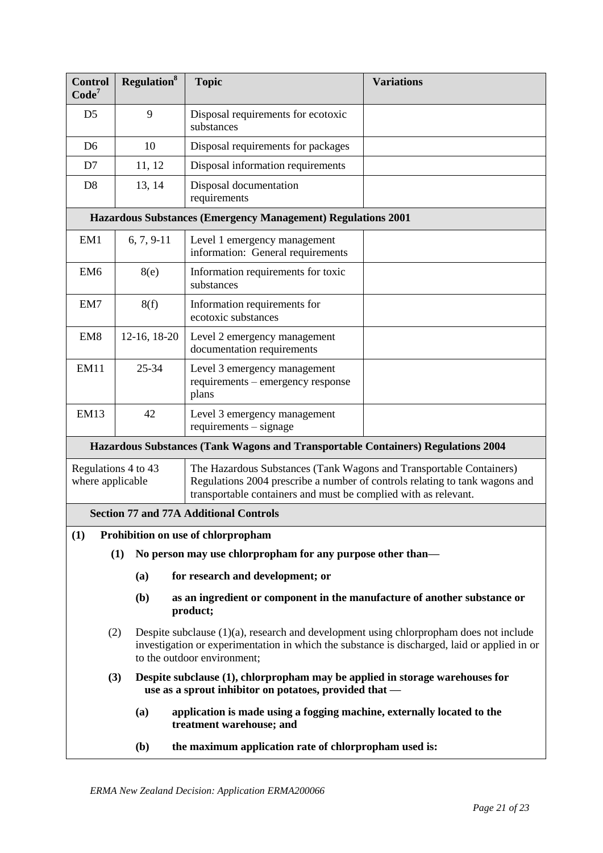| <b>Control</b><br>Code <sup>7</sup>                                                                                                                                                                                                                              | <b>Regulation</b> <sup>8</sup>                                                                                                                                                                                                  | <b>Topic</b>                                                                         | <b>Variations</b> |  |  |
|------------------------------------------------------------------------------------------------------------------------------------------------------------------------------------------------------------------------------------------------------------------|---------------------------------------------------------------------------------------------------------------------------------------------------------------------------------------------------------------------------------|--------------------------------------------------------------------------------------|-------------------|--|--|
| D <sub>5</sub>                                                                                                                                                                                                                                                   | 9                                                                                                                                                                                                                               | Disposal requirements for ecotoxic<br>substances                                     |                   |  |  |
| D <sub>6</sub>                                                                                                                                                                                                                                                   | 10                                                                                                                                                                                                                              | Disposal requirements for packages                                                   |                   |  |  |
| D <sub>7</sub>                                                                                                                                                                                                                                                   | 11, 12                                                                                                                                                                                                                          | Disposal information requirements                                                    |                   |  |  |
| D <sub>8</sub>                                                                                                                                                                                                                                                   | 13, 14                                                                                                                                                                                                                          | Disposal documentation<br>requirements                                               |                   |  |  |
|                                                                                                                                                                                                                                                                  |                                                                                                                                                                                                                                 | <b>Hazardous Substances (Emergency Management) Regulations 2001</b>                  |                   |  |  |
| EM1                                                                                                                                                                                                                                                              | $6, 7, 9-11$                                                                                                                                                                                                                    | Level 1 emergency management<br>information: General requirements                    |                   |  |  |
| EM <sub>6</sub>                                                                                                                                                                                                                                                  | 8(e)                                                                                                                                                                                                                            | Information requirements for toxic<br>substances                                     |                   |  |  |
| EM7                                                                                                                                                                                                                                                              | 8(f)                                                                                                                                                                                                                            | Information requirements for<br>ecotoxic substances                                  |                   |  |  |
| EM <sub>8</sub>                                                                                                                                                                                                                                                  | $12-16$ , $18-20$                                                                                                                                                                                                               | Level 2 emergency management<br>documentation requirements                           |                   |  |  |
| <b>EM11</b>                                                                                                                                                                                                                                                      | $25 - 34$                                                                                                                                                                                                                       | Level 3 emergency management<br>requirements – emergency response<br>plans           |                   |  |  |
| <b>EM13</b>                                                                                                                                                                                                                                                      | 42                                                                                                                                                                                                                              | Level 3 emergency management<br>$requirements - signature$                           |                   |  |  |
|                                                                                                                                                                                                                                                                  |                                                                                                                                                                                                                                 | Hazardous Substances (Tank Wagons and Transportable Containers) Regulations 2004     |                   |  |  |
| Regulations 4 to 43<br>The Hazardous Substances (Tank Wagons and Transportable Containers)<br>Regulations 2004 prescribe a number of controls relating to tank wagons and<br>where applicable<br>transportable containers and must be complied with as relevant. |                                                                                                                                                                                                                                 |                                                                                      |                   |  |  |
|                                                                                                                                                                                                                                                                  | <b>Section 77 and 77A Additional Controls</b>                                                                                                                                                                                   |                                                                                      |                   |  |  |
| (1)                                                                                                                                                                                                                                                              |                                                                                                                                                                                                                                 | Prohibition on use of chlorpropham                                                   |                   |  |  |
|                                                                                                                                                                                                                                                                  | (1)                                                                                                                                                                                                                             | No person may use chlorpropham for any purpose other than—                           |                   |  |  |
|                                                                                                                                                                                                                                                                  | (a)                                                                                                                                                                                                                             | for research and development; or                                                     |                   |  |  |
|                                                                                                                                                                                                                                                                  | (b)                                                                                                                                                                                                                             | as an ingredient or component in the manufacture of another substance or<br>product; |                   |  |  |
|                                                                                                                                                                                                                                                                  | Despite subclause $(1)(a)$ , research and development using chlorpropham does not include<br>(2)<br>investigation or experimentation in which the substance is discharged, laid or applied in or<br>to the outdoor environment; |                                                                                      |                   |  |  |
|                                                                                                                                                                                                                                                                  | (3)<br>Despite subclause (1), chlorpropham may be applied in storage warehouses for<br>use as a sprout inhibitor on potatoes, provided that —                                                                                   |                                                                                      |                   |  |  |
|                                                                                                                                                                                                                                                                  | (a)<br>application is made using a fogging machine, externally located to the<br>treatment warehouse; and                                                                                                                       |                                                                                      |                   |  |  |
|                                                                                                                                                                                                                                                                  | ( <b>b</b> )                                                                                                                                                                                                                    | the maximum application rate of chlorpropham used is:                                |                   |  |  |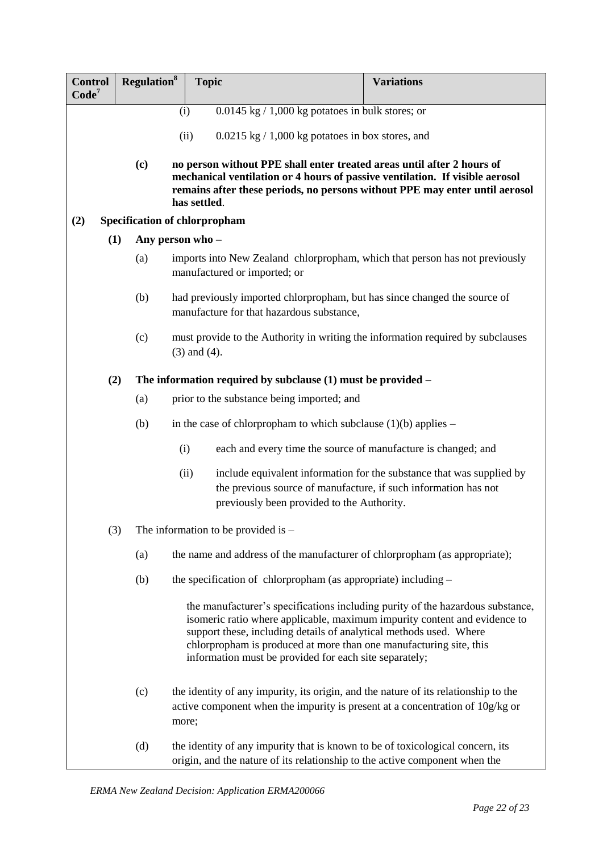| <b>Control</b><br>Code <sup>7</sup> |     | <b>Regulation</b> <sup>8</sup> | <b>Topic</b>                                                                                                                                                                                                                                                                                                                                                      | <b>Variations</b>                                                     |
|-------------------------------------|-----|--------------------------------|-------------------------------------------------------------------------------------------------------------------------------------------------------------------------------------------------------------------------------------------------------------------------------------------------------------------------------------------------------------------|-----------------------------------------------------------------------|
|                                     |     |                                | $0.0145$ kg $/ 1,000$ kg potatoes in bulk stores; or<br>(i)                                                                                                                                                                                                                                                                                                       |                                                                       |
|                                     |     |                                | $0.0215$ kg $/ 1,000$ kg potatoes in box stores, and<br>(ii)                                                                                                                                                                                                                                                                                                      |                                                                       |
|                                     |     |                                |                                                                                                                                                                                                                                                                                                                                                                   |                                                                       |
|                                     |     | (c)                            | no person without PPE shall enter treated areas until after 2 hours of<br>mechanical ventilation or 4 hours of passive ventilation. If visible aerosol<br>remains after these periods, no persons without PPE may enter until aerosol<br>has settled.                                                                                                             |                                                                       |
| (2)                                 |     |                                | Specification of chlorpropham                                                                                                                                                                                                                                                                                                                                     |                                                                       |
|                                     | (1) |                                | Any person who -                                                                                                                                                                                                                                                                                                                                                  |                                                                       |
|                                     |     | (a)                            | imports into New Zealand chlorpropham, which that person has not previously<br>manufactured or imported; or                                                                                                                                                                                                                                                       |                                                                       |
|                                     |     | (b)                            | had previously imported chlorpropham, but has since changed the source of<br>manufacture for that hazardous substance,                                                                                                                                                                                                                                            |                                                                       |
|                                     |     | (c)                            | must provide to the Authority in writing the information required by subclauses<br>$(3)$ and $(4)$ .                                                                                                                                                                                                                                                              |                                                                       |
|                                     | (2) |                                | The information required by subclause $(1)$ must be provided $-$                                                                                                                                                                                                                                                                                                  |                                                                       |
|                                     |     | (a)                            | prior to the substance being imported; and                                                                                                                                                                                                                                                                                                                        |                                                                       |
|                                     |     | (b)                            | in the case of chlorpropham to which subclause $(1)(b)$ applies –                                                                                                                                                                                                                                                                                                 |                                                                       |
|                                     |     |                                | each and every time the source of manufacture is changed; and<br>(i)                                                                                                                                                                                                                                                                                              |                                                                       |
|                                     |     |                                | (ii)<br>the previous source of manufacture, if such information has not<br>previously been provided to the Authority.                                                                                                                                                                                                                                             | include equivalent information for the substance that was supplied by |
|                                     | (3) |                                | The information to be provided is $-$                                                                                                                                                                                                                                                                                                                             |                                                                       |
|                                     |     | (a)                            | the name and address of the manufacturer of chlorpropham (as appropriate);                                                                                                                                                                                                                                                                                        |                                                                       |
|                                     |     | (b)                            | the specification of chlorpropham (as appropriate) including –                                                                                                                                                                                                                                                                                                    |                                                                       |
|                                     |     |                                | the manufacturer's specifications including purity of the hazardous substance,<br>isomeric ratio where applicable, maximum impurity content and evidence to<br>support these, including details of analytical methods used. Where<br>chlorpropham is produced at more than one manufacturing site, this<br>information must be provided for each site separately; |                                                                       |
|                                     |     | (c)                            | the identity of any impurity, its origin, and the nature of its relationship to the<br>active component when the impurity is present at a concentration of 10g/kg or<br>more;                                                                                                                                                                                     |                                                                       |
|                                     |     | (d)                            | the identity of any impurity that is known to be of toxicological concern, its<br>origin, and the nature of its relationship to the active component when the                                                                                                                                                                                                     |                                                                       |